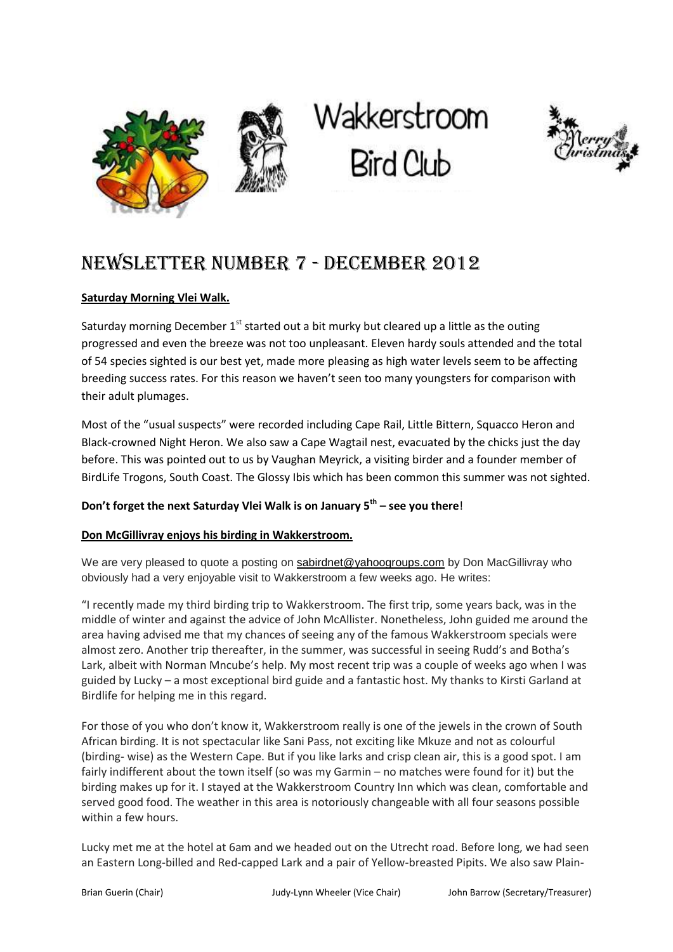





# NEWSLETTER NUMBER 7 - dECEMBER 2012

## **Saturday Morning Vlei Walk.**

Saturday morning December  $1<sup>st</sup>$  started out a bit murky but cleared up a little as the outing progressed and even the breeze was not too unpleasant. Eleven hardy souls attended and the total of 54 species sighted is our best yet, made more pleasing as high water levels seem to be affecting breeding success rates. For this reason we haven't seen too many youngsters for comparison with their adult plumages.

Most of the "usual suspects" were recorded including Cape Rail, Little Bittern, Squacco Heron and Black-crowned Night Heron. We also saw a Cape Wagtail nest, evacuated by the chicks just the day before. This was pointed out to us by Vaughan Meyrick, a visiting birder and a founder member of BirdLife Trogons, South Coast. The Glossy Ibis which has been common this summer was not sighted.

#### **Don't forget the next Saturday Vlei Walk is on January 5th – see you there**!

#### **Don McGillivray enjoys his birding in Wakkerstroom.**

We are very pleased to quote a posting on [sabirdnet@yahoogroups.com](mailto:sabirdnet@yahoogroups.com) by Don MacGillivray who obviously had a very enjoyable visit to Wakkerstroom a few weeks ago. He writes:

"I recently made my third birding trip to Wakkerstroom. The first trip, some years back, was in the middle of winter and against the advice of John McAllister. Nonetheless, John guided me around the area having advised me that my chances of seeing any of the famous Wakkerstroom specials were almost zero. Another trip thereafter, in the summer, was successful in seeing Rudd's and Botha's Lark, albeit with Norman Mncube's help. My most recent trip was a couple of weeks ago when I was guided by Lucky – a most exceptional bird guide and a fantastic host. My thanks to Kirsti Garland at Birdlife for helping me in this regard.

For those of you who don't know it, Wakkerstroom really is one of the jewels in the crown of South African birding. It is not spectacular like Sani Pass, not exciting like Mkuze and not as colourful (birding- wise) as the Western Cape. But if you like larks and crisp clean air, this is a good spot. I am fairly indifferent about the town itself (so was my Garmin – no matches were found for it) but the birding makes up for it. I stayed at the Wakkerstroom Country Inn which was clean, comfortable and served good food. The weather in this area is notoriously changeable with all four seasons possible within a few hours.

Lucky met me at the hotel at 6am and we headed out on the Utrecht road. Before long, we had seen an Eastern Long-billed and Red-capped Lark and a pair of Yellow-breasted Pipits. We also saw Plain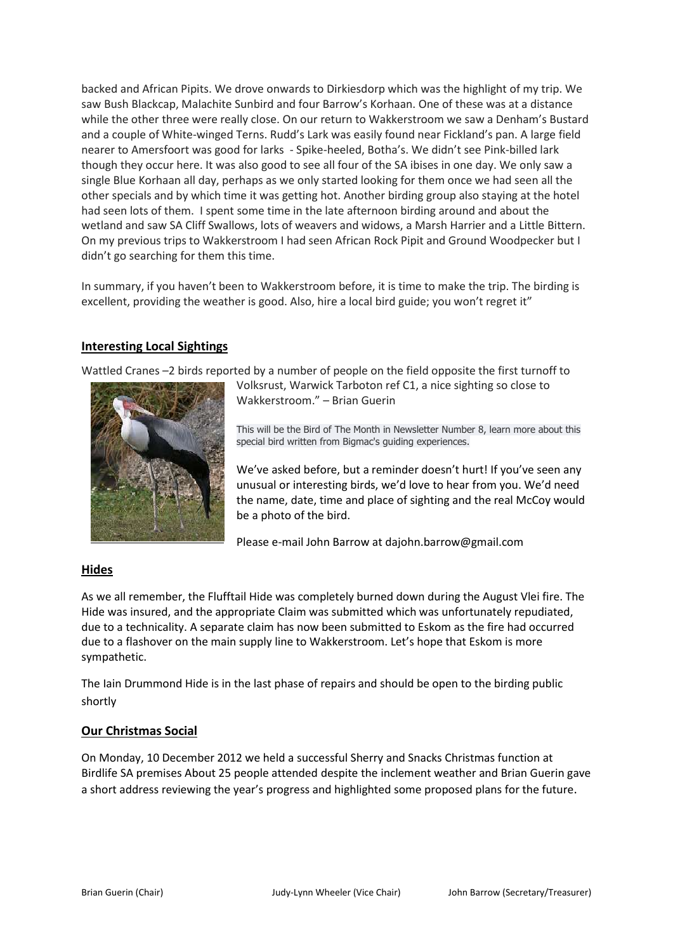backed and African Pipits. We drove onwards to Dirkiesdorp which was the highlight of my trip. We saw Bush Blackcap, Malachite Sunbird and four Barrow's Korhaan. One of these was at a distance while the other three were really close. On our return to Wakkerstroom we saw a Denham's Bustard and a couple of White-winged Terns. Rudd's Lark was easily found near Fickland's pan. A large field nearer to Amersfoort was good for larks - Spike-heeled, Botha's. We didn't see Pink-billed lark though they occur here. It was also good to see all four of the SA ibises in one day. We only saw a single Blue Korhaan all day, perhaps as we only started looking for them once we had seen all the other specials and by which time it was getting hot. Another birding group also staying at the hotel had seen lots of them. I spent some time in the late afternoon birding around and about the wetland and saw SA Cliff Swallows, lots of weavers and widows, a Marsh Harrier and a Little Bittern. On my previous trips to Wakkerstroom I had seen African Rock Pipit and Ground Woodpecker but I didn't go searching for them this time.

In summary, if you haven't been to Wakkerstroom before, it is time to make the trip. The birding is excellent, providing the weather is good. Also, hire a local bird guide; you won't regret it"

#### **Interesting Local Sightings**

Wattled Cranes –2 birds reported by a number of people on the field opposite the first turnoff to



Volksrust, Warwick Tarboton ref C1, a nice sighting so close to Wakkerstroom." – Brian Guerin

This will be the Bird of The Month in Newsletter Number 8, learn more about this special bird written from Bigmac's guiding experiences.

We've asked before, but a reminder doesn't hurt! If you've seen any unusual or interesting birds, we'd love to hear from you. We'd need the name, date, time and place of sighting and the real McCoy would be a photo of the bird.

Please e-mail John Barrow at dajohn.barrow@gmail.com

#### **Hides**

As we all remember, the Flufftail Hide was completely burned down during the August Vlei fire. The Hide was insured, and the appropriate Claim was submitted which was unfortunately repudiated, due to a technicality. A separate claim has now been submitted to Eskom as the fire had occurred due to a flashover on the main supply line to Wakkerstroom. Let's hope that Eskom is more sympathetic.

The Iain Drummond Hide is in the last phase of repairs and should be open to the birding public shortly

#### **Our Christmas Social**

On Monday, 10 December 2012 we held a successful Sherry and Snacks Christmas function at Birdlife SA premises About 25 people attended despite the inclement weather and Brian Guerin gave a short address reviewing the year's progress and highlighted some proposed plans for the future.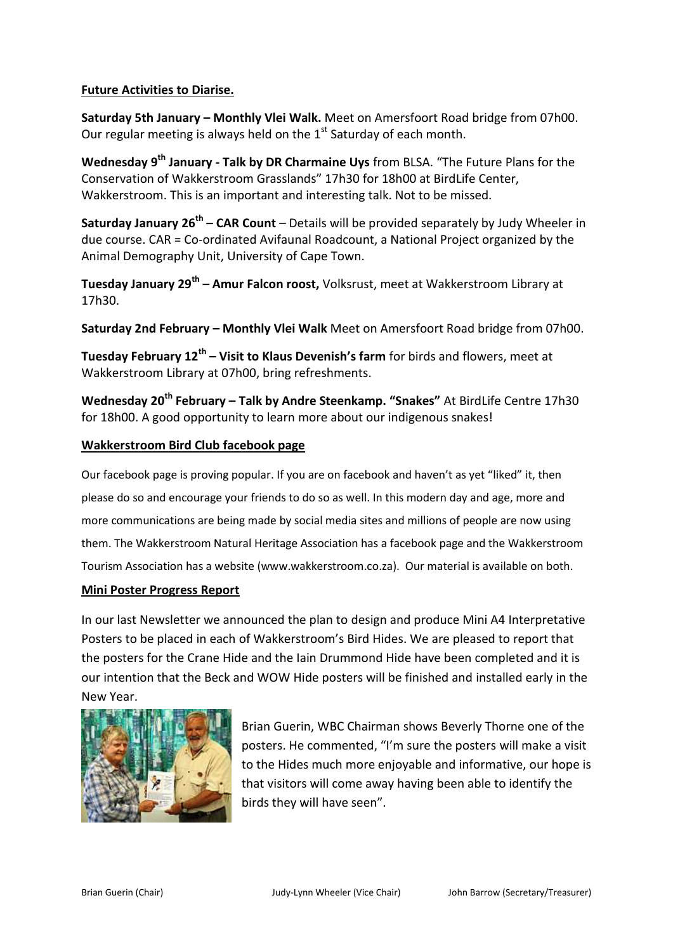## **Future Activities to Diarise.**

**Saturday 5th January – Monthly Vlei Walk.** Meet on Amersfoort Road bridge from 07h00. Our regular meeting is always held on the  $1<sup>st</sup>$  Saturday of each month.

**Wednesday 9th January - Talk by DR Charmaine Uys** from BLSA. "The Future Plans for the Conservation of Wakkerstroom Grasslands" 17h30 for 18h00 at BirdLife Center, Wakkerstroom. This is an important and interesting talk. Not to be missed.

**Saturday January 26th – CAR Count** – Details will be provided separately by Judy Wheeler in due course. CAR = Co-ordinated Avifaunal Roadcount, a National Project organized by the Animal Demography Unit, University of Cape Town.

**Tuesday January 29th – Amur Falcon roost,** Volksrust, meet at Wakkerstroom Library at 17h30.

**Saturday 2nd February – Monthly Vlei Walk** Meet on Amersfoort Road bridge from 07h00.

**Tuesday February 12th – Visit to Klaus Devenish's farm** for birds and flowers, meet at Wakkerstroom Library at 07h00, bring refreshments.

**Wednesday 20th February – Talk by Andre Steenkamp. "Snakes"** At BirdLife Centre 17h30 for 18h00. A good opportunity to learn more about our indigenous snakes!

## **Wakkerstroom Bird Club facebook page**

Our facebook page is proving popular. If you are on facebook and haven't as yet "liked" it, then please do so and encourage your friends to do so as well. In this modern day and age, more and more communications are being made by social media sites and millions of people are now using them. The Wakkerstroom Natural Heritage Association has a facebook page and the Wakkerstroom Tourism Association has a website (www.wakkerstroom.co.za). Our material is available on both.

#### **Mini Poster Progress Report**

In our last Newsletter we announced the plan to design and produce Mini A4 Interpretative Posters to be placed in each of Wakkerstroom's Bird Hides. We are pleased to report that the posters for the Crane Hide and the Iain Drummond Hide have been completed and it is our intention that the Beck and WOW Hide posters will be finished and installed early in the New Year.



Brian Guerin, WBC Chairman shows Beverly Thorne one of the posters. He commented, "I'm sure the posters will make a visit to the Hides much more enjoyable and informative, our hope is that visitors will come away having been able to identify the birds they will have seen".